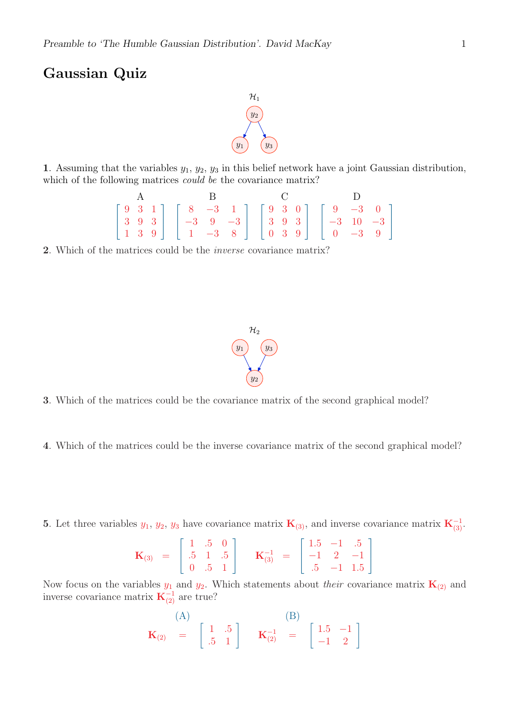## Gaussian Quiz



1. Assuming that the variables  $y_1, y_2, y_3$  in this belief network have a joint Gaussian distribution, which of the following matrices *could be* the covariance matrix?

$$
\begin{bmatrix} 9 & 3 & 1 \ 3 & 9 & 3 \ 1 & 3 & 9 \end{bmatrix} \begin{bmatrix} 8 & -3 & 1 \ -3 & 9 & -3 \ 1 & -3 & 8 \end{bmatrix} \begin{bmatrix} 9 & 3 & 0 \ 3 & 9 & 3 \ 0 & 3 & 9 \end{bmatrix} \begin{bmatrix} 9 & -3 & 0 \ -3 & 10 & -3 \ 0 & -3 & 9 \end{bmatrix}
$$

2. Which of the matrices could be the inverse covariance matrix?



- 3. Which of the matrices could be the covariance matrix of the second graphical model?
- 4. Which of the matrices could be the inverse covariance matrix of the second graphical model?
- 5. Let three variables  $y_1, y_2, y_3$  have covariance matrix  $\mathbf{K}_{(3)}$ , and inverse covariance matrix  $\mathbf{K}_{(3)}^{-1}$ .

$$
\mathbf{K}_{(3)} = \begin{bmatrix} 1 & .5 & 0 \\ .5 & 1 & .5 \\ 0 & .5 & 1 \end{bmatrix} \quad \mathbf{K}_{(3)}^{-1} = \begin{bmatrix} 1.5 & -1 & .5 \\ -1 & 2 & -1 \\ .5 & -1 & 1.5 \end{bmatrix}
$$

Now focus on the variables  $y_1$  and  $y_2$ . Which statements about *their* covariance matrix  $\mathbf{K}_{(2)}$  and inverse covariance matrix  $\mathbf{K}_{(2)}^{-1}$  are true?

$$
\mathbf{K}_{(2)} \quad = \quad \begin{bmatrix} 1 & .5 \\ .5 & 1 \end{bmatrix} \qquad \mathbf{K}_{(2)}^{-1} \quad = \quad \begin{bmatrix} 1.5 & -1 \\ -1 & 2 \end{bmatrix}
$$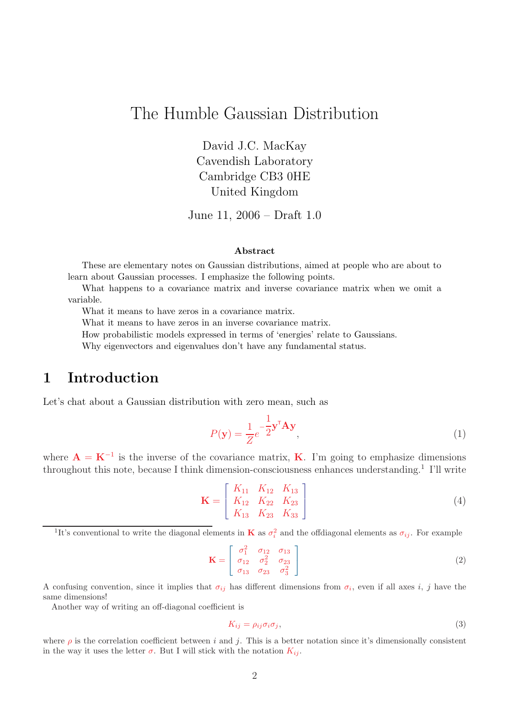# The Humble Gaussian Distribution

David J.C. MacKay Cavendish Laboratory Cambridge CB3 0HE United Kingdom

June 11, 2006 – Draft 1.0

#### Abstract

These are elementary notes on Gaussian distributions, aimed at people who are about to learn about Gaussian processes. I emphasize the following points.

What happens to a covariance matrix and inverse covariance matrix when we omit a variable.

What it means to have zeros in a covariance matrix.

What it means to have zeros in an inverse covariance matrix.

How probabilistic models expressed in terms of 'energies' relate to Gaussians.

Why eigenvectors and eigenvalues don't have any fundamental status.

## 1 Introduction

Let's chat about a Gaussian distribution with zero mean, such as

$$
P(\mathbf{y}) = \frac{1}{Z}e^{-\frac{1}{2}\mathbf{y}^{\mathsf{T}}\mathbf{A}\mathbf{y}},
$$
\n(1)

where  $\mathbf{A} = \mathbf{K}^{-1}$  is the inverse of the covariance matrix, **K**. I'm going to emphasize dimensions throughout this note, because I think dimension-consciousness enhances understanding. <sup>1</sup> I'll write

$$
\mathbf{K} = \begin{bmatrix} K_{11} & K_{12} & K_{13} \\ K_{12} & K_{22} & K_{23} \\ K_{13} & K_{23} & K_{33} \end{bmatrix}
$$
 (4)

<sup>1</sup>It's conventional to write the diagonal elements in **K** as  $\sigma_i^2$  and the offdiagonal elements as  $\sigma_{ij}$ . For example

$$
\mathbf{K} = \begin{bmatrix} \sigma_1^2 & \sigma_{12} & \sigma_{13} \\ \sigma_{12} & \sigma_2^2 & \sigma_{23} \\ \sigma_{13} & \sigma_{23} & \sigma_3^2 \end{bmatrix}
$$
 (2)

A confusing convention, since it implies that  $\sigma_{ij}$  has different dimensions from  $\sigma_i$ , even if all axes i, j have the same dimensions!

Another way of writing an off-diagonal coefficient is

$$
K_{ij} = \rho_{ij}\sigma_i\sigma_j,\tag{3}
$$

where  $\rho$  is the correlation coefficient between i and j. This is a better notation since it's dimensionally consistent in the way it uses the letter  $\sigma$ . But I will stick with the notation  $K_{ij}$ .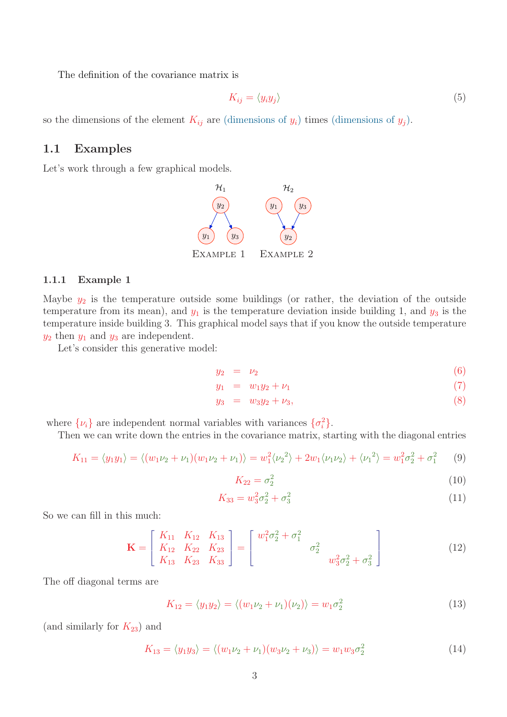The definition of the covariance matrix is

$$
K_{ij} = \langle y_i y_j \rangle \tag{5}
$$

so the dimensions of the element  $K_{ij}$  are (dimensions of  $y_i$ ) times (dimensions of  $y_j$ ).

#### 1.1 Examples

Let's work through a few graphical models.



#### 1.1.1 Example 1

Maybe  $y_2$  is the temperature outside some buildings (or rather, the deviation of the outside temperature from its mean), and  $y_1$  is the temperature deviation inside building 1, and  $y_3$  is the temperature inside building 3. This graphical model says that if you know the outside temperature  $y_2$  then  $y_1$  and  $y_3$  are independent.

Let's consider this generative model:

$$
y_2 = \nu_2 \tag{6}
$$

$$
y_1 = w_1 y_2 + \nu_1 \tag{7}
$$

$$
y_3 = w_3 y_2 + \nu_3,\tag{8}
$$

where  $\{\nu_i\}$  are independent normal variables with variances  $\{\sigma_i^2\}$ .

Then we can write down the entries in the covariance matrix, starting with the diagonal entries

$$
K_{11} = \langle y_1 y_1 \rangle = \langle (w_1 \nu_2 + \nu_1)(w_1 \nu_2 + \nu_1) \rangle = w_1^2 \langle \nu_2^2 \rangle + 2w_1 \langle \nu_1 \nu_2 \rangle + \langle \nu_1^2 \rangle = w_1^2 \sigma_2^2 + \sigma_1^2
$$
 (9)

$$
K_{22} = \sigma_2^2 \tag{10}
$$

$$
K_{33} = w_3^2 \sigma_2^2 + \sigma_3^2 \tag{11}
$$

So we can fill in this much:

$$
\mathbf{K} = \begin{bmatrix} K_{11} & K_{12} & K_{13} \\ K_{12} & K_{22} & K_{23} \\ K_{13} & K_{23} & K_{33} \end{bmatrix} = \begin{bmatrix} w_1^2 \sigma_2^2 + \sigma_1^2 \\ \sigma_2^2 & w_3^2 \sigma_2^2 + \sigma_3^2 \end{bmatrix}
$$
(12)

The off diagonal terms are

$$
K_{12} = \langle y_1 y_2 \rangle = \langle (w_1 \nu_2 + \nu_1)(\nu_2) \rangle = w_1 \sigma_2^2 \tag{13}
$$

(and similarly for  $K_{23}$ ) and

$$
K_{13} = \langle y_1 y_3 \rangle = \langle (w_1 \nu_2 + \nu_1)(w_3 \nu_2 + \nu_3) \rangle = w_1 w_3 \sigma_2^2 \tag{14}
$$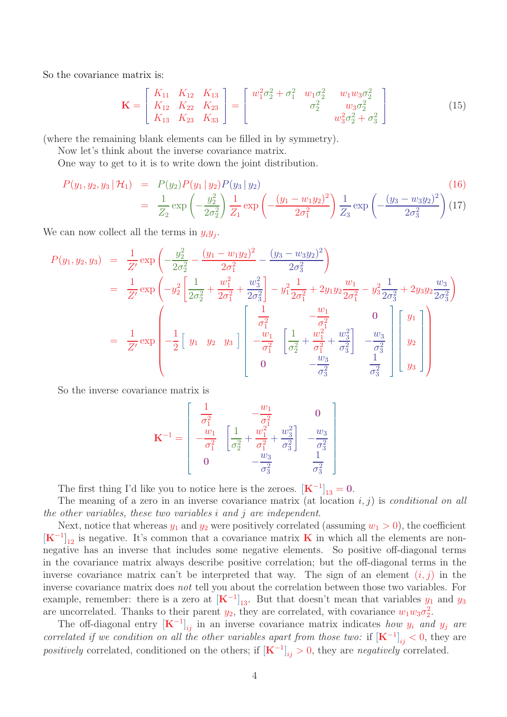So the covariance matrix is:

$$
\mathbf{K} = \begin{bmatrix} K_{11} & K_{12} & K_{13} \\ K_{12} & K_{22} & K_{23} \\ K_{13} & K_{23} & K_{33} \end{bmatrix} = \begin{bmatrix} w_1^2 \sigma_2^2 + \sigma_1^2 & w_1 \sigma_2^2 & w_1 w_3 \sigma_2^2 \\ \sigma_2^2 & w_3 \sigma_2^2 & w_3 \sigma_2^2 \\ w_3^2 \sigma_2^2 + \sigma_3^2 \end{bmatrix}
$$
(15)

(where the remaining blank elements can be filled in by symmetry).

Now let's think about the inverse covariance matrix.

One way to get to it is to write down the joint distribution.

$$
P(y_1, y_2, y_3 | \mathcal{H}_1) = P(y_2)P(y_1 | y_2)P(y_3 | y_2)
$$
\n
$$
= \frac{1}{Z_2} \exp\left(-\frac{y_2^2}{2\sigma_2^2}\right) \frac{1}{Z_1} \exp\left(-\frac{(y_1 - w_1 y_2)^2}{2\sigma_1^2}\right) \frac{1}{Z_3} \exp\left(-\frac{(y_3 - w_3 y_2)^2}{2\sigma_3^2}\right) (17)
$$
\n(16)

We can now collect all the terms in  $y_i y_j$ .

$$
P(y_1, y_2, y_3) = \frac{1}{Z'} \exp\left(-\frac{y_2^2}{2\sigma_2^2} - \frac{(y_1 - w_1y_2)^2}{2\sigma_1^2} - \frac{(y_3 - w_3y_2)^2}{2\sigma_3^2}\right)
$$
  
\n
$$
= \frac{1}{Z'} \exp\left(-y_2^2 \left[\frac{1}{2\sigma_2^2} + \frac{w_1^2}{2\sigma_1^2} + \frac{w_3^2}{2\sigma_3^2}\right] - y_1^2 \frac{1}{2\sigma_1^2} + 2y_1y_2\frac{w_1}{2\sigma_1^2} - y_3^2 \frac{1}{2\sigma_3^2} + 2y_3y_2\frac{w_3}{2\sigma_3^2}\right)
$$
  
\n
$$
= \frac{1}{Z'} \exp\left(-\frac{1}{2}\left[y_1 \ y_2 \ y_3\right]\right) \left[\begin{array}{ccc} \frac{1}{\sigma_1^2} & -\frac{w_1}{\sigma_1^2} & 0\\ -\frac{w_1}{\sigma_1^2} & \left[\frac{1}{\sigma_2^2} + \frac{w_1^2}{\sigma_1^2} + \frac{w_3^2}{\sigma_3^2}\right] & -\frac{w_3}{\sigma_3^2} \\ 0 & -\frac{w_3}{\sigma_3^2} & \frac{1}{\sigma_3^2} \end{array}\right] \left[y_2\right]
$$

So the inverse covariance matrix is

$$
\mathbf{K}^{-1} = \begin{bmatrix} \frac{1}{\sigma_1^2} & -\frac{w_1}{\sigma_1^2} & 0\\ -\frac{w_1}{\sigma_1^2} & \left[\frac{1}{\sigma_2^2} + \frac{w_1^2}{\sigma_1^2} + \frac{w_3^2}{\sigma_3^2}\right] & -\frac{w_3}{\sigma_3^2} \\ 0 & -\frac{w_3}{\sigma_3^2} & \frac{1}{\sigma_3^2} \end{bmatrix}
$$

The first thing I'd like you to notice here is the zeroes.  $[K^{-1}]_{13} = 0$ .

The meaning of a zero in an inverse covariance matrix (at location  $i, j$ ) is *conditional on all* the other variables, these two variables i and j are independent.

Next, notice that whereas  $y_1$  and  $y_2$  were positively correlated (assuming  $w_1 > 0$ ), the coefficient  $[\mathbf{K}^{-1}]_{12}$  is negative. It's common that a covariance matrix **K** in which all the elements are nonnegative has an inverse that includes some negative elements. So positive off-diagonal terms in the covariance matrix always describe positive correlation; but the off-diagonal terms in the inverse covariance matrix can't be interpreted that way. The sign of an element  $(i, j)$  in the inverse covariance matrix does not tell you about the correlation between those two variables. For example, remember: there is a zero at  $[K^{-1}]_{13}$ . But that doesn't mean that variables  $y_1$  and  $y_3$ are uncorrelated. Thanks to their parent  $y_2$ , they are correlated, with covariance  $w_1w_3\sigma_2^2$ .

The off-diagonal entry  $[K^{-1}]_{ij}$  in an inverse covariance matrix indicates how  $y_i$  and  $y_j$  are correlated if we condition on all the other variables apart from those two: if  $[K^{-1}]_{ij} < 0$ , they are positively correlated, conditioned on the others; if  $[K^{-1}]_{ij} > 0$ , they are negatively correlated.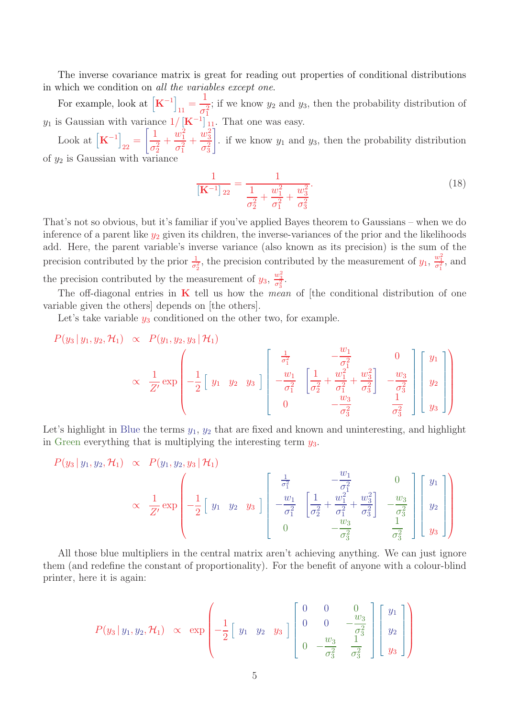The inverse covariance matrix is great for reading out properties of conditional distributions in which we condition on all the variables except one.

For example, look at  $\left[\mathbf{K}^{-1}\right]_{11} = \frac{1}{\sigma_1^2}$ ; if we know  $y_2$  and  $y_3$ , then the probability distribution of  $y_1$  is Gaussian with variance  $1/$   $[K^{-1}]_{11}^{01}$ . That one was easy.

Look at  $\left[\mathbf{K}^{-1}\right]_{22} = \left[\frac{1}{\sigma_2^2}\right]$  $+$  $w_1^2$  $\sigma_1^2$  $+$  $w_3^2$  $\sigma_3^2$ ( . if we know  $y_1$  and  $y_3$ , then the probability distribution of  $y_2$  is Gaussian with variance

$$
\frac{1}{\left[\mathbf{K}^{-1}\right]_{22}} = \frac{1}{\frac{1}{\sigma_2^2} + \frac{w_1^2}{\sigma_1^2} + \frac{w_3^2}{\sigma_3^2}}.
$$
\n(18)

That's not so obvious, but it's familiar if you've applied Bayes theorem to Gaussians – when we do inference of a parent like  $y_2$  given its children, the inverse-variances of the prior and the likelihoods add. Here, the parent variable's inverse variance (also known as its precision) is the sum of the precision contributed by the prior  $\frac{1}{\sigma_2^2}$ , the precision contributed by the measurement of  $y_1$ ,  $\frac{w_1^2}{\sigma_1^2}$ , and the precision contributed by the measurement of  $y_3$ ,  $\frac{w_3^2}{\sigma_3^2}$ .

The off-diagonal entries in  $\bf{K}$  tell us how the *mean* of [the conditional distribution of one variable given the others] depends on [the others].

Let's take variable  $y_3$  conditioned on the other two, for example.

$$
P(y_3 | y_1, y_2, \mathcal{H}_1) \propto P(y_1, y_2, y_3 | \mathcal{H}_1)
$$
  
 
$$
\propto \frac{1}{Z'} \exp \left(-\frac{1}{2} \begin{bmatrix} y_1 & y_2 & y_3 \end{bmatrix} \begin{bmatrix} \frac{1}{\sigma_1^2} & -\frac{w_1}{\sigma_1^2} & 0 \\ -\frac{w_1}{\sigma_1^2} & \frac{1}{\sigma_2^2} + \frac{w_1^2}{\sigma_1^2} + \frac{w_3^2}{\sigma_3^2} & -\frac{w_3}{\sigma_3^2} \\ 0 & -\frac{w_3}{\sigma_3^2} & \frac{1}{\sigma_3^2} \end{bmatrix} \begin{bmatrix} y_1 \\ y_2 \\ y_3 \end{bmatrix} \right)
$$

Let's highlight in Blue the terms  $y_1, y_2$  that are fixed and known and uninteresting, and highlight in Green everything that is multiplying the interesting term  $y_3$ .

$$
P(y_3 | y_1, y_2, \mathcal{H}_1) \propto P(y_1, y_2, y_3 | \mathcal{H}_1)
$$
  
 
$$
\propto \frac{1}{Z'} \exp \left(-\frac{1}{2} \begin{bmatrix} y_1 & y_2 & y_3 \end{bmatrix} \begin{bmatrix} \frac{1}{\sigma_1^2} & -\frac{w_1}{\sigma_1^2} & 0 \\ -\frac{w_1}{\sigma_1^2} & \frac{1}{\sigma_2^2} + \frac{w_1^2}{\sigma_1^2} + \frac{w_3^2}{\sigma_3^2} & -\frac{w_3}{\sigma_3^2} \\ 0 & -\frac{w_3}{\sigma_3^2} & \frac{1}{\sigma_3^2} \end{bmatrix} \begin{bmatrix} y_1 \\ y_2 \\ y_3 \end{bmatrix} \right)
$$

All those blue multipliers in the central matrix aren't achieving anything. We can just ignore them (and redefine the constant of proportionality). For the benefit of anyone with a colour-blind printer, here it is again:

$$
P(y_3 | y_1, y_2, \mathcal{H}_1) \propto \exp \left(-\frac{1}{2} \begin{bmatrix} y_1 & y_2 & y_3 \end{bmatrix} \begin{bmatrix} 0 & 0 & 0 \ 0 & 0 & -\frac{w_3}{\sigma_3^2} \\ 0 & -\frac{w_3}{\sigma_3^2} & \frac{1}{\sigma_3^2} \end{bmatrix} \begin{bmatrix} y_1 \\ y_2 \\ y_3 \end{bmatrix} \right)
$$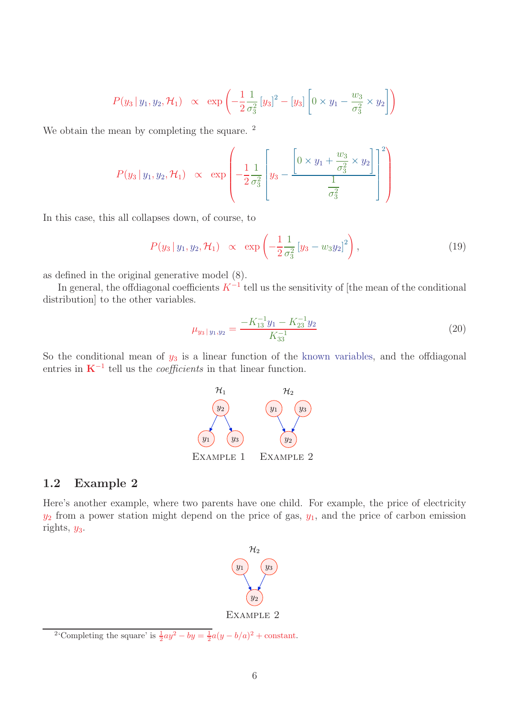$$
P(y_3 | y_1, y_2, \mathcal{H}_1) \propto \exp \left(-\frac{1}{2} \frac{1}{\sigma_3^2} [y_3]^2 - [y_3] \left[0 \times y_1 - \frac{w_3}{\sigma_3^2} \times y_2\right]\right)
$$

We obtain the mean by completing the square. <sup>2</sup>

$$
P(y_3 | y_1, y_2, \mathcal{H}_1) \propto \exp \left(-\frac{1}{2} \frac{1}{\sigma_3^2} \left[ y_3 - \frac{\left[0 \times y_1 + \frac{w_3}{\sigma_3^2} \times y_2\right]}{\frac{1}{\sigma_3^2}} \right]^2 \right)
$$

In this case, this all collapses down, of course, to

$$
P(y_3 | y_1, y_2, \mathcal{H}_1) \propto \exp\left(-\frac{1}{2} \frac{1}{\sigma_3^2} \left[y_3 - w_3 y_2\right]^2\right),\tag{19}
$$

as defined in the original generative model (8).

In general, the offdiagonal coefficients  $K^{-1}$  tell us the sensitivity of [the mean of the conditional distribution] to the other variables.

$$
\mu_{y_3 \mid y_1, y_2} = \frac{-K_{13}^{-1} y_1 - K_{23}^{-1} y_2}{K_{33}^{-1}} \tag{20}
$$

So the conditional mean of  $y_3$  is a linear function of the known variables, and the offdiagonal entries in  $K^{-1}$  tell us the *coefficients* in that linear function.



### 1.2 Example 2

Here's another example, where two parents have one child. For example, the price of electricity  $y_2$  from a power station might depend on the price of gas,  $y_1$ , and the price of carbon emission rights,  $y_3$ .



<sup>&</sup>lt;sup>2</sup>'Completing the square' is  $\frac{1}{2}ay^2 - by = \frac{1}{2}a(y - b/a)^2 + \text{constant}$ .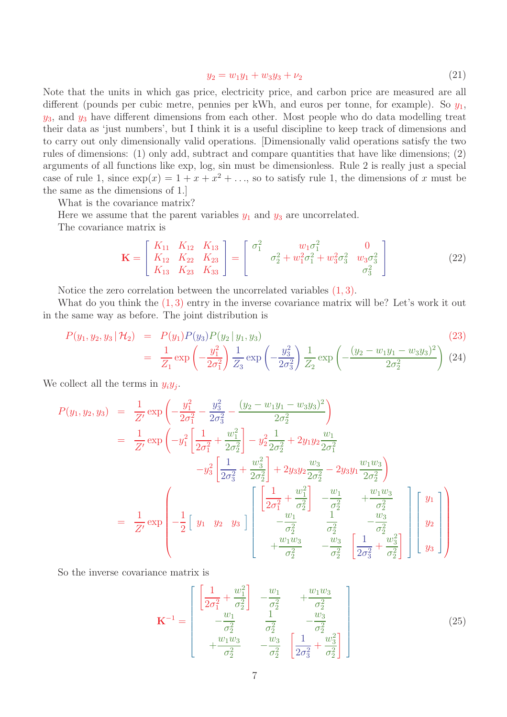$$
y_2 = w_1 y_1 + w_3 y_3 + \nu_2 \tag{21}
$$

Note that the units in which gas price, electricity price, and carbon price are measured are all different (pounds per cubic metre, pennies per kWh, and euros per tonne, for example). So  $y_1$ ,  $y_3$ , and  $y_3$  have different dimensions from each other. Most people who do data modelling treat their data as 'just numbers', but I think it is a useful discipline to keep track of dimensions and to carry out only dimensionally valid operations. [Dimensionally valid operations satisfy the two rules of dimensions: (1) only add, subtract and compare quantities that have like dimensions; (2) arguments of all functions like exp, log, sin must be dimensionless. Rule 2 is really just a special case of rule 1, since  $\exp(x) = 1 + x + x^2 + \dots$ , so to satisfy rule 1, the dimensions of x must be the same as the dimensions of 1.]

What is the covariance matrix?

Here we assume that the parent variables  $y_1$  and  $y_3$  are uncorrelated.

The covariance matrix is

$$
\mathbf{K} = \begin{bmatrix} K_{11} & K_{12} & K_{13} \\ K_{12} & K_{22} & K_{23} \\ K_{13} & K_{23} & K_{33} \end{bmatrix} = \begin{bmatrix} \sigma_1^2 & w_1 \sigma_1^2 & 0 \\ \sigma_2^2 + w_1^2 \sigma_1^2 + w_3^2 \sigma_3^2 & w_3 \sigma_3^2 \\ \sigma_3^2 & \sigma_3^2 \end{bmatrix}
$$
(22)

Notice the zero correlation between the uncorrelated variables (1, 3).

What do you think the  $(1, 3)$  entry in the inverse covariance matrix will be? Let's work it out in the same way as before. The joint distribution is

$$
P(y_1, y_2, y_3 | \mathcal{H}_2) = P(y_1)P(y_3)P(y_2 | y_1, y_3)
$$
\n
$$
= \frac{1}{Z_1} \exp\left(-\frac{y_1^2}{2\sigma_1^2}\right) \frac{1}{Z_3} \exp\left(-\frac{y_3^2}{2\sigma_3^2}\right) \frac{1}{Z_2} \exp\left(-\frac{(y_2 - w_1y_1 - w_3y_3)^2}{2\sigma_2^2}\right)
$$
\n(24)

We collect all the terms in  $y_i y_j$ .

$$
P(y_1, y_2, y_3) = \frac{1}{Z'} \exp\left(-\frac{y_1^2}{2\sigma_1^2} - \frac{y_3^2}{2\sigma_2^2} - \frac{(y_2 - w_1y_1 - w_3y_3)^2}{2\sigma_2^2}\right)
$$
  
\n
$$
= \frac{1}{Z'} \exp\left(-y_1^2 \left[\frac{1}{2\sigma_1^2} + \frac{w_1^2}{2\sigma_2^2}\right] - y_2^2 \frac{1}{2\sigma_2^2} + 2y_1y_2 \frac{w_1}{2\sigma_1^2}
$$
  
\n
$$
-y_3^2 \left[\frac{1}{2\sigma_3^2} + \frac{w_3^2}{2\sigma_2^2}\right] + 2y_3y_2 \frac{w_3}{2\sigma_2^2} - 2y_3y_1 \frac{w_1w_3}{2\sigma_2^2}\right)
$$
  
\n
$$
= \frac{1}{Z'} \exp\left(-\frac{1}{2}\left[y_1 \ y_2 \ y_3\right]\right) \left[\begin{array}{ccc} \left[\frac{1}{2\sigma_1^2} + \frac{w_1^2}{\sigma_2^2}\right] & -\frac{w_1}{\sigma_2^2} & +\frac{w_1w_3}{\sigma_2^2} \\ -\frac{w_1}{\sigma_2^2} & \frac{1}{\sigma_2^2} & -\frac{w_3}{\sigma_2^2} \\ +\frac{w_1w_3}{\sigma_2^2} & -\frac{w_3}{\sigma_2^2} & \left[\frac{1}{2\sigma_3^2} + \frac{w_3^2}{\sigma_2^2}\right]\end{array}\right] \left[y_2\right]
$$

So the inverse covariance matrix is

$$
\mathbf{K}^{-1} = \begin{bmatrix} \frac{1}{2\sigma_1^2} + \frac{w_1^2}{\sigma_2^2} & -\frac{w_1}{\sigma_2^2} & +\frac{w_1w_3}{\sigma_2^2} \\ -\frac{w_1}{\sigma_2^2} & \frac{1}{\sigma_2^2} & -\frac{w_3}{\sigma_2^2} \\ +\frac{w_1w_3}{\sigma_2^2} & -\frac{w_3}{\sigma_2^2} & \left[\frac{1}{2\sigma_3^2} + \frac{w_3^2}{\sigma_2^2}\right] \end{bmatrix}
$$
(25)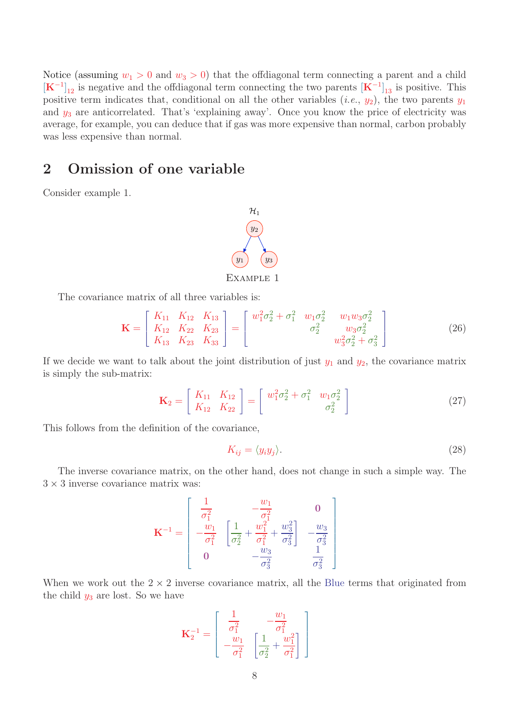Notice (assuming  $w_1 > 0$  and  $w_3 > 0$ ) that the offdiagonal term connecting a parent and a child  $[\mathbf{K}^{-1}]_{12}$  is negative and the offdiagonal term connecting the two parents  $[\mathbf{K}^{-1}]_{13}$  is positive. This positive term indicates that, conditional on all the other variables  $(i.e., y_2)$ , the two parents  $y_1$ and  $y_3$  are anticorrelated. That's 'explaining away'. Once you know the price of electricity was average, for example, you can deduce that if gas was more expensive than normal, carbon probably was less expensive than normal.

# 2 Omission of one variable

Consider example 1.



The covariance matrix of all three variables is:

$$
\mathbf{K} = \begin{bmatrix} K_{11} & K_{12} & K_{13} \\ K_{12} & K_{22} & K_{23} \\ K_{13} & K_{23} & K_{33} \end{bmatrix} = \begin{bmatrix} w_1^2 \sigma_2^2 + \sigma_1^2 & w_1 \sigma_2^2 & w_1 w_3 \sigma_2^2 \\ \sigma_2^2 & w_3 \sigma_2^2 & w_3 \sigma_2^2 \\ w_3^2 \sigma_2^2 + \sigma_3^2 \end{bmatrix}
$$
(26)

If we decide we want to talk about the joint distribution of just  $y_1$  and  $y_2$ , the covariance matrix is simply the sub-matrix:

$$
\mathbf{K}_2 = \begin{bmatrix} K_{11} & K_{12} \\ K_{12} & K_{22} \end{bmatrix} = \begin{bmatrix} w_1^2 \sigma_2^2 + \sigma_1^2 & w_1 \sigma_2^2 \\ \sigma_2^2 & \sigma_2^2 \end{bmatrix}
$$
 (27)

This follows from the definition of the covariance,

$$
K_{ij} = \langle y_i y_j \rangle. \tag{28}
$$

The inverse covariance matrix, on the other hand, does not change in such a simple way. The  $3 \times 3$  inverse covariance matrix was:

$$
\mathbf{K}^{-1} = \begin{bmatrix} \frac{1}{\sigma_1^2} & -\frac{w_1}{\sigma_1^2} & 0\\ -\frac{w_1}{\sigma_1^2} & \left[\frac{1}{\sigma_2^2} + \frac{w_1^2}{\sigma_1^2} + \frac{w_3^2}{\sigma_3^2}\right] & -\frac{w_3}{\sigma_3^2} \\ 0 & -\frac{w_3}{\sigma_3^2} & \frac{1}{\sigma_3^2} \end{bmatrix}
$$

When we work out the  $2 \times 2$  inverse covariance matrix, all the Blue terms that originated from the child  $y_3$  are lost. So we have

$$
\mathbf{K}_2^{-1} = \begin{bmatrix} \frac{1}{\sigma_1^2} & -\frac{w_1}{\sigma_1^2} \\ -\frac{w_1}{\sigma_1^2} & \left[\frac{1}{\sigma_2^2} + \frac{w_1^2}{\sigma_1^2}\right] \end{bmatrix}
$$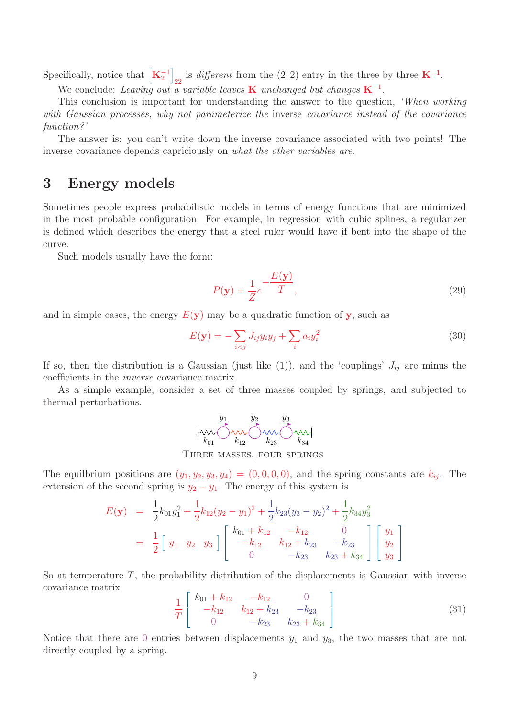Specifically, notice that  $\left[\mathbf{K}_2^{-1}\right]$ /  $_{22}$  is *different* from the (2, 2) entry in the three by three **K**<sup>-1</sup>.

We conclude: Leaving out a variable leaves **K** unchanged but changes  $K^{-1}$ .

This conclusion is important for understanding the answer to the question, 'When working with Gaussian processes, why not parameterize the inverse covariance instead of the covariance function?'

The answer is: you can't write down the inverse covariance associated with two points! The inverse covariance depends capriciously on what the other variables are.

### 3 Energy models

Sometimes people express probabilistic models in terms of energy functions that are minimized in the most probable configuration. For example, in regression with cubic splines, a regularizer is defined which describes the energy that a steel ruler would have if bent into the shape of the curve.

Such models usually have the form:

$$
P(\mathbf{y}) = \frac{1}{Z}e^{-\frac{E(\mathbf{y})}{T}},
$$
\n(29)

and in simple cases, the energy  $E(y)$  may be a quadratic function of y, such as

$$
E(\mathbf{y}) = -\sum_{i < j} J_{ij} y_i y_j + \sum_i a_i y_i^2 \tag{30}
$$

If so, then the distribution is a Gaussian (just like (1)), and the 'couplings'  $J_{ij}$  are minus the coefficients in the inverse covariance matrix.

As a simple example, consider a set of three masses coupled by springs, and subjected to thermal perturbations.

$$
\hspace{1.2cm} \uparrow \hspace{1.2cm} \underbrace{y_1}_{k_{01}} \underbrace{y_2}_{k_{12}} \underbrace{y_3}_{k_{23}} \underbrace{y_3}_{k_{34}} \hspace{1.4cm} \uparrow \hspace{1.2cm} \downarrow \hspace{1.2cm} \downarrow \hspace{1.2cm} \downarrow
$$

Three masses, four springs

The equilbrium positions are  $(y_1, y_2, y_3, y_4) = (0, 0, 0, 0)$ , and the spring constants are  $k_{ij}$ . The extension of the second spring is  $y_2 - y_1$ . The energy of this system is

$$
E(\mathbf{y}) = \frac{1}{2}k_{01}y_1^2 + \frac{1}{2}k_{12}(y_2 - y_1)^2 + \frac{1}{2}k_{23}(y_3 - y_2)^2 + \frac{1}{2}k_{34}y_3^2
$$
  
=  $\frac{1}{2}$   $\begin{bmatrix} y_1 & y_2 & y_3 \end{bmatrix}$   $\begin{bmatrix} k_{01} + k_{12} & -k_{12} & 0 \\ -k_{12} & k_{12} + k_{23} & -k_{23} \\ 0 & -k_{23} & k_{23} + k_{34} \end{bmatrix}$   $\begin{bmatrix} y_1 \\ y_2 \\ y_3 \end{bmatrix}$ 

So at temperature  $T$ , the probability distribution of the displacements is Gaussian with inverse covariance matrix

$$
\frac{1}{T} \begin{bmatrix} k_{01} + k_{12} & -k_{12} & 0 \\ -k_{12} & k_{12} + k_{23} & -k_{23} \\ 0 & -k_{23} & k_{23} + k_{34} \end{bmatrix}
$$
 (31)

Notice that there are 0 entries between displacements  $y_1$  and  $y_3$ , the two masses that are not directly coupled by a spring.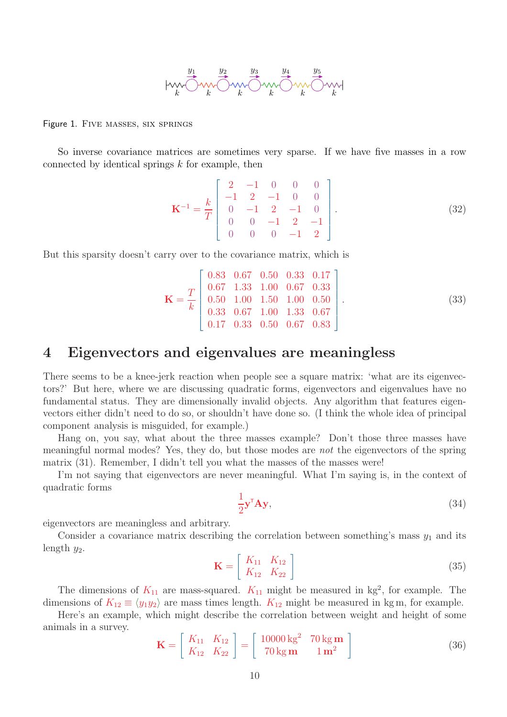

Figure 1. Five masses, six springs

So inverse covariance matrices are sometimes very sparse. If we have five masses in a row connected by identical springs  $k$  for example, then

$$
\mathbf{K}^{-1} = \frac{k}{T} \begin{bmatrix} 2 & -1 & 0 & 0 & 0 \\ -1 & 2 & -1 & 0 & 0 \\ 0 & -1 & 2 & -1 & 0 \\ 0 & 0 & -1 & 2 & -1 \\ 0 & 0 & 0 & -1 & 2 \end{bmatrix} . \tag{32}
$$

But this sparsity doesn't carry over to the covariance matrix, which is

$$
\mathbf{K} = \frac{T}{k} \begin{bmatrix} 0.83 & 0.67 & 0.50 & 0.33 & 0.17 \\ 0.67 & 1.33 & 1.00 & 0.67 & 0.33 \\ 0.50 & 1.00 & 1.50 & 1.00 & 0.50 \\ 0.33 & 0.67 & 1.00 & 1.33 & 0.67 \\ 0.17 & 0.33 & 0.50 & 0.67 & 0.83 \end{bmatrix}.
$$
 (33)

## 4 Eigenvectors and eigenvalues are meaningless

There seems to be a knee-jerk reaction when people see a square matrix: 'what are its eigenvectors?' But here, where we are discussing quadratic forms, eigenvectors and eigenvalues have no fundamental status. They are dimensionally invalid objects. Any algorithm that features eigenvectors either didn't need to do so, or shouldn't have done so. (I think the whole idea of principal component analysis is misguided, for example.)

Hang on, you say, what about the three masses example? Don't those three masses have meaningful normal modes? Yes, they do, but those modes are not the eigenvectors of the spring matrix (31). Remember, I didn't tell you what the masses of the masses were!

I'm not saying that eigenvectors are never meaningful. What I'm saying is, in the context of quadratic forms

$$
\frac{1}{2}\mathbf{y}^{\mathsf{T}}\mathbf{A}\mathbf{y},\tag{34}
$$

eigenvectors are meaningless and arbitrary.

Consider a covariance matrix describing the correlation between something's mass  $y_1$  and its length  $y_2$ .

$$
\mathbf{K} = \left[ \begin{array}{cc} K_{11} & K_{12} \\ K_{12} & K_{22} \end{array} \right] \tag{35}
$$

The dimensions of  $K_{11}$  are mass-squared.  $K_{11}$  might be measured in kg<sup>2</sup>, for example. The dimensions of  $K_{12} \equiv \langle y_1 y_2 \rangle$  are mass times length.  $K_{12}$  might be measured in kg m, for example.

Here's an example, which might describe the correlation between weight and height of some animals in a survey.

$$
\mathbf{K} = \begin{bmatrix} K_{11} & K_{12} \\ K_{12} & K_{22} \end{bmatrix} = \begin{bmatrix} 10000 \text{ kg}^2 & 70 \text{ kg } \mathbf{m} \\ 70 \text{ kg } \mathbf{m} & 1 \text{ } \mathbf{m}^2 \end{bmatrix}
$$
 (36)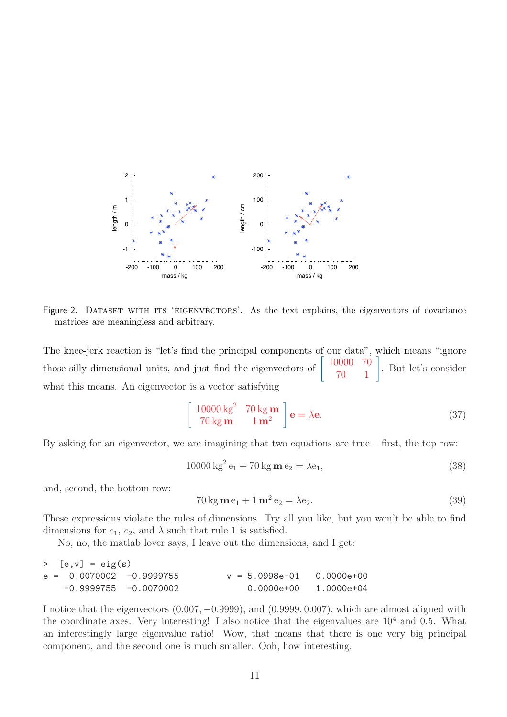

Figure 2. DATASET WITH ITS 'EIGENVECTORS'. As the text explains, the eigenvectors of covariance matrices are meaningless and arbitrary.

The knee-jerk reaction is "let's find the principal components of our data", which means "ignore those silly dimensional units, and just find the eigenvectors of |<br>| 10000 70 70 1 ( . But let's consider what this means. An eigenvector is a vector satisfying

$$
\begin{bmatrix} 10000 \text{ kg}^2 & 70 \text{ kg } \mathbf{m} \\ 70 \text{ kg } \mathbf{m} & 1 \text{ m}^2 \end{bmatrix} \mathbf{e} = \lambda \mathbf{e}.
$$
 (37)

By asking for an eigenvector, we are imagining that two equations are true – first, the top row:

$$
10000 \,\mathrm{kg}^2 \,\mathrm{e}_1 + 70 \,\mathrm{kg} \,\mathrm{m} \,\mathrm{e}_2 = \lambda \mathrm{e}_1,\tag{38}
$$

and, second, the bottom row:

$$
70\,\mathrm{kg}\,\mathrm{m}\,\mathrm{e}_1 + 1\,\mathrm{m}^2\,\mathrm{e}_2 = \lambda \mathrm{e}_2. \tag{39}
$$

These expressions violate the rules of dimensions. Try all you like, but you won't be able to find dimensions for  $e_1, e_2$ , and  $\lambda$  such that rule 1 is satisfied.

No, no, the matlab lover says, I leave out the dimensions, and I get:

| $>$ [e,v] = eig(s)         |                          |                             |                         |
|----------------------------|--------------------------|-----------------------------|-------------------------|
| $e = 0.0070002 -0.9999755$ |                          | $v = 5.0998e-01$ 0.0000e+00 |                         |
|                            | $-0.9999755 - 0.0070002$ |                             | $0.0000e+00$ 1.0000e+04 |

I notice that the eigenvectors (0.007, −0.9999), and (0.9999, 0.007), which are almost aligned with the coordinate axes. Very interesting! I also notice that the eigenvalues are  $10^4$  and 0.5. What an interestingly large eigenvalue ratio! Wow, that means that there is one very big principal component, and the second one is much smaller. Ooh, how interesting.